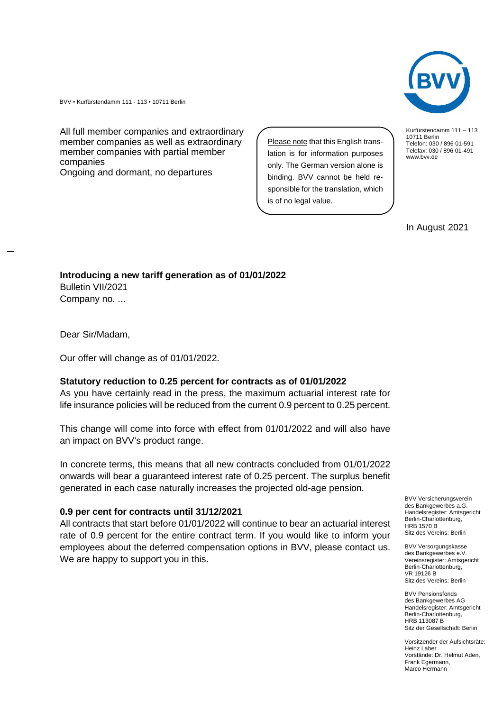Kurfürstendamm 111 – 113 10711 Berlin Telefon: 030 / 896 01-591 Telefax: 030 / 896 01-491 www.bvv.de

In August 2021

BVV • Kurfürstendamm 111 - 113 • 10711 Berlin

All full member companies and extraordinary member companies as well as extraordinary member companies with partial member companies

Ongoing and dormant, no departures

Please note that this English translation is for information purposes only. The German version alone is binding. BVV cannot be held responsible for the translation, which is of no legal value.

## **Introducing a new tariff generation as of 01/01/2022** Bulletin VII/2021

Company no. ...

Dear Sir/Madam,

Our offer will change as of 01/01/2022.

## **Statutory reduction to 0.25 percent for contracts as of 01/01/2022**

As you have certainly read in the press, the maximum actuarial interest rate for life insurance policies will be reduced from the current 0.9 percent to 0.25 percent.

This change will come into force with effect from 01/01/2022 and will also have an impact on BVV's product range.

In concrete terms, this means that all new contracts concluded from 01/01/2022 onwards will bear a guaranteed interest rate of 0.25 percent. The surplus benefit generated in each case naturally increases the projected old-age pension.

## **0.9 per cent for contracts until 31/12/2021**

All contracts that start before 01/01/2022 will continue to bear an actuarial interest rate of 0.9 percent for the entire contract term. If you would like to inform your employees about the deferred compensation options in BVV, please contact us. We are happy to support you in this.

BVV Versicherungsverein des Bankgewerbes a.G. Handelsregister: Amtsgericht Berlin-Charlottenburg, HRB 1570 B Sitz des Vereins: Berlin

BVV Versorgungskasse des Bankgewerbes e.V. Vereinsregister: Amtsgericht Berlin-Charlottenburg, VR 19126 B Sitz des Vereins: Berlin

BVV Pensionsfonds des Bankgewerbes AG Handelsregister: Amtsgericht Berlin-Charlottenburg, HRB 113087 B Sitz der Gesellschaft: Berlin

Vorsitzender der Aufsichtsräte: Heinz Laber Vorstände: Dr. Helmut Aden, Frank Egermann, Marco Hermann